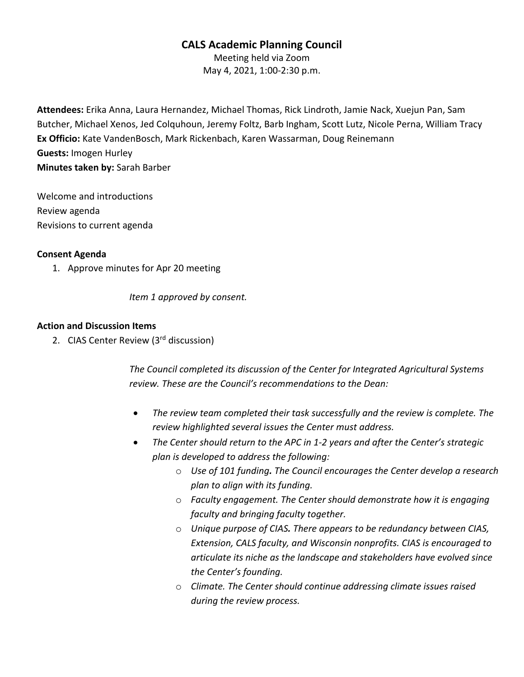## **CALS Academic Planning Council**

Meeting held via Zoom May 4, 2021, 1:00-2:30 p.m.

**Attendees:** Erika Anna, Laura Hernandez, Michael Thomas, Rick Lindroth, Jamie Nack, Xuejun Pan, Sam Butcher, Michael Xenos, Jed Colquhoun, Jeremy Foltz, Barb Ingham, Scott Lutz, Nicole Perna, William Tracy **Ex Officio:** Kate VandenBosch, Mark Rickenbach, Karen Wassarman, Doug Reinemann **Guests:** Imogen Hurley **Minutes taken by:** Sarah Barber

Welcome and introductions Review agenda Revisions to current agenda

## **Consent Agenda**

1. Approve minutes for Apr 20 meeting

*Item 1 approved by consent.*

## **Action and Discussion Items**

2. CIAS Center Review (3rd discussion)

*The Council completed its discussion of the Center for Integrated Agricultural Systems review. These are the Council's recommendations to the Dean:* 

- *The review team completed their task successfully and the review is complete. The review highlighted several issues the Center must address.*
- *The Center should return to the APC in 1-2 years and after the Center's strategic plan is developed to address the following:*
	- o *Use of 101 funding. The Council encourages the Center develop a research plan to align with its funding.*
	- o *Faculty engagement. The Center should demonstrate how it is engaging faculty and bringing faculty together.*
	- o *Unique purpose of CIAS. There appears to be redundancy between CIAS, Extension, CALS faculty, and Wisconsin nonprofits. CIAS is encouraged to articulate its niche as the landscape and stakeholders have evolved since the Center's founding.*
	- o *Climate. The Center should continue addressing climate issues raised during the review process.*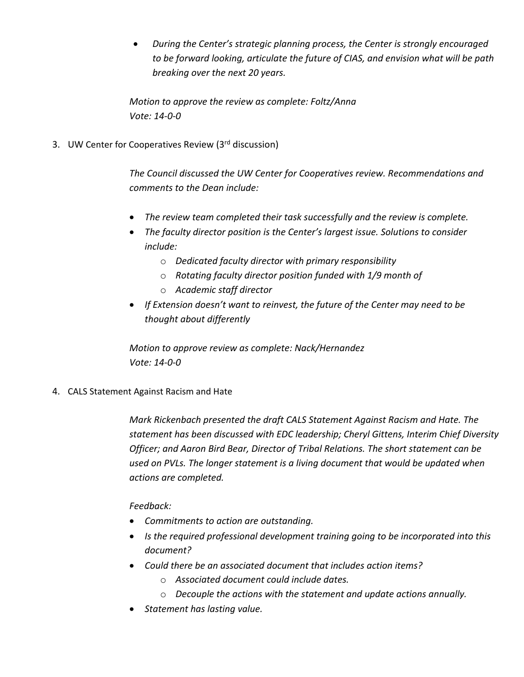• *During the Center's strategic planning process, the Center is strongly encouraged to be forward looking, articulate the future of CIAS, and envision what will be path breaking over the next 20 years.* 

*Motion to approve the review as complete: Foltz/Anna Vote: 14-0-0*

3. UW Center for Cooperatives Review (3rd discussion)

*The Council discussed the UW Center for Cooperatives review. Recommendations and comments to the Dean include:* 

- *The review team completed their task successfully and the review is complete.*
- *The faculty director position is the Center's largest issue. Solutions to consider include:* 
	- o *Dedicated faculty director with primary responsibility*
	- o *Rotating faculty director position funded with 1/9 month of*
	- o *Academic staff director*
- *If Extension doesn't want to reinvest, the future of the Center may need to be thought about differently*

*Motion to approve review as complete: Nack/Hernandez Vote: 14-0-0*

4. CALS Statement Against Racism and Hate

*Mark Rickenbach presented the draft CALS Statement Against Racism and Hate. The statement has been discussed with EDC leadership; Cheryl Gittens, Interim Chief Diversity Officer; and Aaron Bird Bear, Director of Tribal Relations. The short statement can be used on PVLs. The longer statement is a living document that would be updated when actions are completed.* 

*Feedback:* 

- *Commitments to action are outstanding.*
- *Is the required professional development training going to be incorporated into this document?*
- *Could there be an associated document that includes action items?*
	- o *Associated document could include dates.*
	- o *Decouple the actions with the statement and update actions annually.*
- *Statement has lasting value.*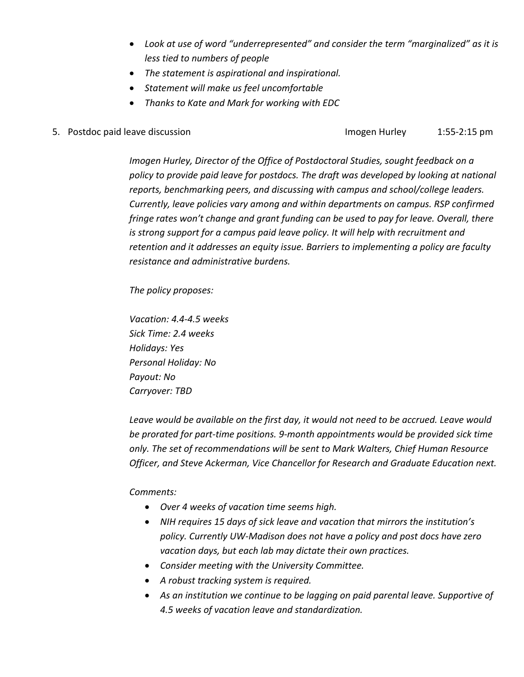- *Look at use of word "underrepresented" and consider the term "marginalized" as it is less tied to numbers of people*
- *The statement is aspirational and inspirational.*
- *Statement will make us feel uncomfortable*
- *Thanks to Kate and Mark for working with EDC*
- 

5. Postdoc paid leave discussion **Implement Controller Controller Controller** 1:55-2:15 pm

*Imogen Hurley, Director of the Office of Postdoctoral Studies, sought feedback on a policy to provide paid leave for postdocs. The draft was developed by looking at national reports, benchmarking peers, and discussing with campus and school/college leaders. Currently, leave policies vary among and within departments on campus. RSP confirmed fringe rates won't change and grant funding can be used to pay for leave. Overall, there is strong support for a campus paid leave policy. It will help with recruitment and retention and it addresses an equity issue. Barriers to implementing a policy are faculty resistance and administrative burdens.*

*The policy proposes:* 

*Vacation: 4.4-4.5 weeks Sick Time: 2.4 weeks Holidays: Yes Personal Holiday: No Payout: No Carryover: TBD*

*Leave would be available on the first day, it would not need to be accrued. Leave would be prorated for part-time positions. 9-month appointments would be provided sick time only. The set of recommendations will be sent to Mark Walters, Chief Human Resource Officer, and Steve Ackerman, Vice Chancellor for Research and Graduate Education next.* 

*Comments:*

- *Over 4 weeks of vacation time seems high.*
- *NIH requires 15 days of sick leave and vacation that mirrors the institution's policy. Currently UW-Madison does not have a policy and post docs have zero vacation days, but each lab may dictate their own practices.*
- *Consider meeting with the University Committee.*
- *A robust tracking system is required.*
- *As an institution we continue to be lagging on paid parental leave. Supportive of 4.5 weeks of vacation leave and standardization.*